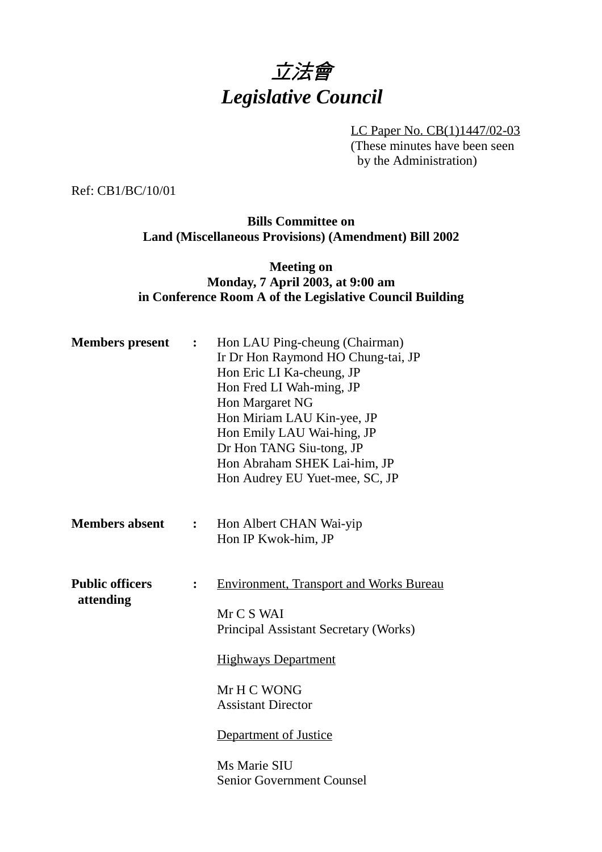

LC Paper No. CB(1)1447/02-03 (These minutes have been seen by the Administration)

Ref: CB1/BC/10/01

## **Bills Committee on Land (Miscellaneous Provisions) (Amendment) Bill 2002**

## **Meeting on Monday, 7 April 2003, at 9:00 am in Conference Room A of the Legislative Council Building**

| <b>Members</b> present              | $\ddot{\cdot}$ | Hon LAU Ping-cheung (Chairman)<br>Ir Dr Hon Raymond HO Chung-tai, JP<br>Hon Eric LI Ka-cheung, JP<br>Hon Fred LI Wah-ming, JP<br>Hon Margaret NG<br>Hon Miriam LAU Kin-yee, JP<br>Hon Emily LAU Wai-hing, JP<br>Dr Hon TANG Siu-tong, JP<br>Hon Abraham SHEK Lai-him, JP<br>Hon Audrey EU Yuet-mee, SC, JP |
|-------------------------------------|----------------|------------------------------------------------------------------------------------------------------------------------------------------------------------------------------------------------------------------------------------------------------------------------------------------------------------|
| <b>Members absent</b>               | $\ddot{\cdot}$ | Hon Albert CHAN Wai-yip<br>Hon IP Kwok-him, JP                                                                                                                                                                                                                                                             |
| <b>Public officers</b><br>attending | $\ddot{\cdot}$ | <b>Environment, Transport and Works Bureau</b><br>Mr C S WAI<br>Principal Assistant Secretary (Works)<br><b>Highways Department</b><br>Mr H C WONG<br><b>Assistant Director</b><br>Department of Justice<br>Ms Marie SIU<br><b>Senior Government Counsel</b>                                               |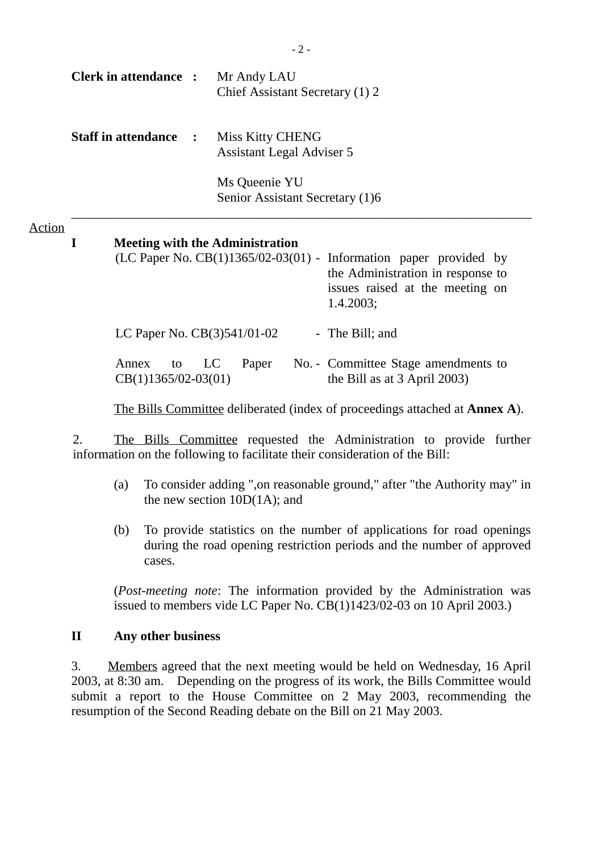|               |                            | <b>Clerk in attendance :</b>                                                                                                                                                                        |                                                  |                                                             | Mr Andy LAU |  | Chief Assistant Secretary (1) 2                                       |  |  |
|---------------|----------------------------|-----------------------------------------------------------------------------------------------------------------------------------------------------------------------------------------------------|--------------------------------------------------|-------------------------------------------------------------|-------------|--|-----------------------------------------------------------------------|--|--|
|               | <b>Staff in attendance</b> |                                                                                                                                                                                                     |                                                  | <b>Miss Kitty CHENG</b><br><b>Assistant Legal Adviser 5</b> |             |  |                                                                       |  |  |
|               |                            |                                                                                                                                                                                                     | Ms Queenie YU<br>Senior Assistant Secretary (1)6 |                                                             |             |  |                                                                       |  |  |
| <b>Action</b> | I                          | <b>Meeting with the Administration</b><br>(LC Paper No. CB(1)1365/02-03(01) -<br>Information paper provided by<br>the Administration in response to<br>issues raised at the meeting on<br>1.4.2003; |                                                  |                                                             |             |  |                                                                       |  |  |
|               |                            | LC Paper No. $CB(3)541/01-02$                                                                                                                                                                       |                                                  |                                                             |             |  | - The Bill; and                                                       |  |  |
|               |                            | Annex<br>to<br>$CB(1)1365/02-03(01)$                                                                                                                                                                | LC                                               |                                                             | Paper       |  | No. - Committee Stage amendments to<br>the Bill as at $3$ April 2003) |  |  |

The Bills Committee deliberated (index of proceedings attached at **Annex A**).

2. The Bills Committee requested the Administration to provide further information on the following to facilitate their consideration of the Bill:

- (a) To consider adding ",on reasonable ground," after "the Authority may" in the new section 10D(1A); and
- (b) To provide statistics on the number of applications for road openings during the road opening restriction periods and the number of approved cases.

(*Post-meeting note*: The information provided by the Administration was issued to members vide LC Paper No.  $CB(1)1423/02-03$  on 10 April 2003.)

## **II Any other business**

3. Members agreed that the next meeting would be held on Wednesday, 16 April 2003, at 8:30 am. Depending on the progress of its work, the Bills Committee would submit a report to the House Committee on 2 May 2003, recommending the resumption of the Second Reading debate on the Bill on 21 May 2003.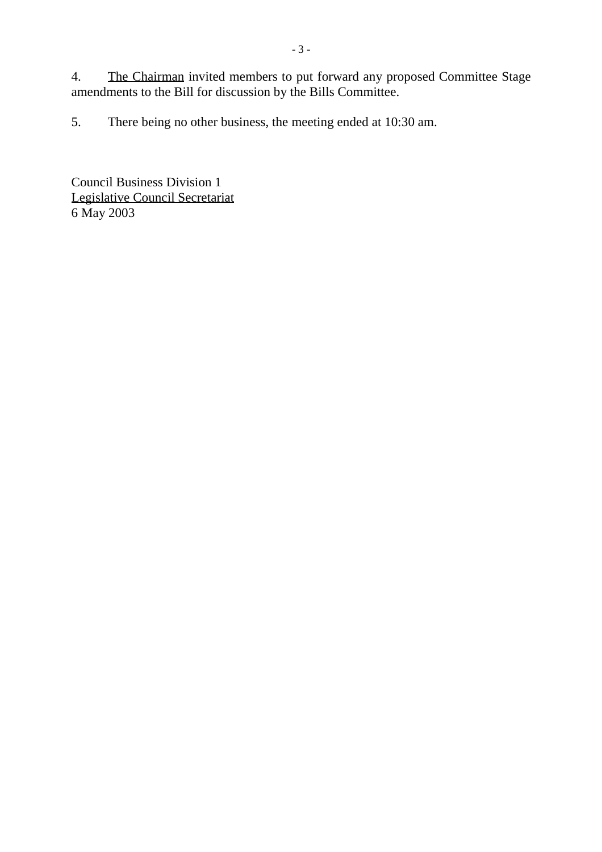4. The Chairman invited members to put forward any proposed Committee Stage amendments to the Bill for discussion by the Bills Committee.

5. There being no other business, the meeting ended at 10:30 am.

Council Business Division 1 Legislative Council Secretariat 6 May 2003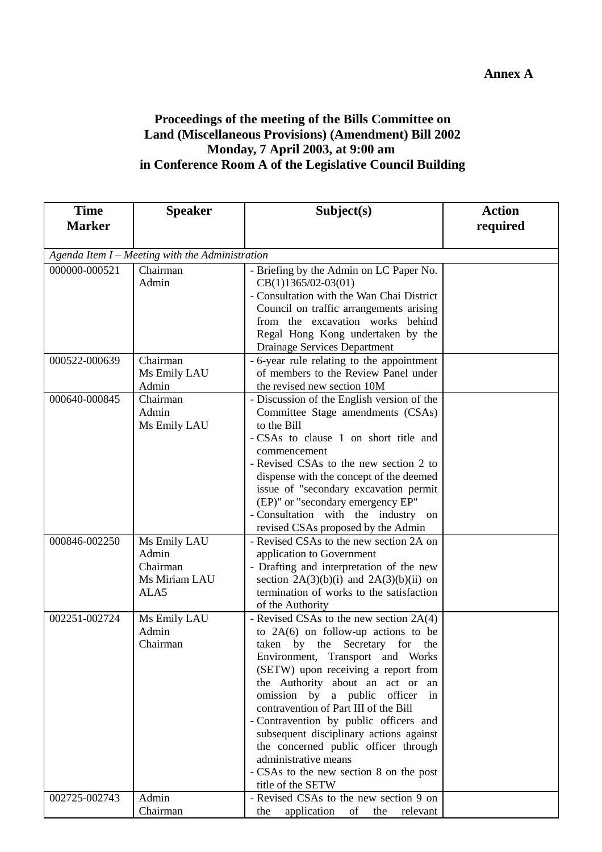## **Proceedings of the meeting of the Bills Committee on Land (Miscellaneous Provisions) (Amendment) Bill 2002 Monday, 7 April 2003, at 9:00 am in Conference Room A of the Legislative Council Building**

| <b>Time</b>                                     | <b>Speaker</b>        | Subject(s)                                                                              | <b>Action</b> |  |  |  |
|-------------------------------------------------|-----------------------|-----------------------------------------------------------------------------------------|---------------|--|--|--|
| <b>Marker</b>                                   |                       |                                                                                         | required      |  |  |  |
|                                                 |                       |                                                                                         |               |  |  |  |
| Agenda Item I - Meeting with the Administration |                       |                                                                                         |               |  |  |  |
| 000000-000521                                   | Chairman              | - Briefing by the Admin on LC Paper No.                                                 |               |  |  |  |
|                                                 | Admin                 | $CB(1)1365/02-03(01)$                                                                   |               |  |  |  |
|                                                 |                       | - Consultation with the Wan Chai District                                               |               |  |  |  |
|                                                 |                       | Council on traffic arrangements arising                                                 |               |  |  |  |
|                                                 |                       | from the excavation works behind                                                        |               |  |  |  |
|                                                 |                       | Regal Hong Kong undertaken by the                                                       |               |  |  |  |
|                                                 |                       | Drainage Services Department                                                            |               |  |  |  |
| 000522-000639                                   | Chairman              | - 6-year rule relating to the appointment                                               |               |  |  |  |
|                                                 | Ms Emily LAU          | of members to the Review Panel under                                                    |               |  |  |  |
|                                                 | Admin                 | the revised new section 10M                                                             |               |  |  |  |
| 000640-000845                                   | Chairman              | - Discussion of the English version of the                                              |               |  |  |  |
|                                                 | Admin                 | Committee Stage amendments (CSAs)                                                       |               |  |  |  |
|                                                 | Ms Emily LAU          | to the Bill                                                                             |               |  |  |  |
|                                                 |                       | - CSAs to clause 1 on short title and                                                   |               |  |  |  |
|                                                 |                       | commencement                                                                            |               |  |  |  |
|                                                 |                       | - Revised CSAs to the new section 2 to                                                  |               |  |  |  |
|                                                 |                       | dispense with the concept of the deemed                                                 |               |  |  |  |
|                                                 |                       | issue of "secondary excavation permit                                                   |               |  |  |  |
|                                                 |                       | (EP)" or "secondary emergency EP"                                                       |               |  |  |  |
|                                                 |                       | - Consultation with the industry on                                                     |               |  |  |  |
|                                                 |                       | revised CSAs proposed by the Admin                                                      |               |  |  |  |
| 000846-002250                                   | Ms Emily LAU<br>Admin | - Revised CSAs to the new section 2A on                                                 |               |  |  |  |
|                                                 | Chairman              | application to Government                                                               |               |  |  |  |
|                                                 | Ms Miriam LAU         | - Drafting and interpretation of the new<br>section $2A(3)(b)(i)$ and $2A(3)(b)(ii)$ on |               |  |  |  |
|                                                 | ALA5                  | termination of works to the satisfaction                                                |               |  |  |  |
|                                                 |                       | of the Authority                                                                        |               |  |  |  |
| 002251-002724                                   | Ms Emily LAU          | - Revised CSAs to the new section 2A(4)                                                 |               |  |  |  |
|                                                 | Admin                 | to $2A(6)$ on follow-up actions to be                                                   |               |  |  |  |
|                                                 | Chairman              | taken by the Secretary for the                                                          |               |  |  |  |
|                                                 |                       | Environment, Transport and Works                                                        |               |  |  |  |
|                                                 |                       | (SETW) upon receiving a report from                                                     |               |  |  |  |
|                                                 |                       | the Authority about an act or an                                                        |               |  |  |  |
|                                                 |                       | omission by a public<br>officer<br>in                                                   |               |  |  |  |
|                                                 |                       | contravention of Part III of the Bill                                                   |               |  |  |  |
|                                                 |                       | - Contravention by public officers and                                                  |               |  |  |  |
|                                                 |                       | subsequent disciplinary actions against                                                 |               |  |  |  |
|                                                 |                       | the concerned public officer through                                                    |               |  |  |  |
|                                                 |                       | administrative means                                                                    |               |  |  |  |
|                                                 |                       | - CSAs to the new section 8 on the post                                                 |               |  |  |  |
|                                                 |                       | title of the SETW                                                                       |               |  |  |  |
| 002725-002743                                   | Admin                 | - Revised CSAs to the new section 9 on                                                  |               |  |  |  |
|                                                 | Chairman              | application<br>of<br>the<br>relevant<br>the                                             |               |  |  |  |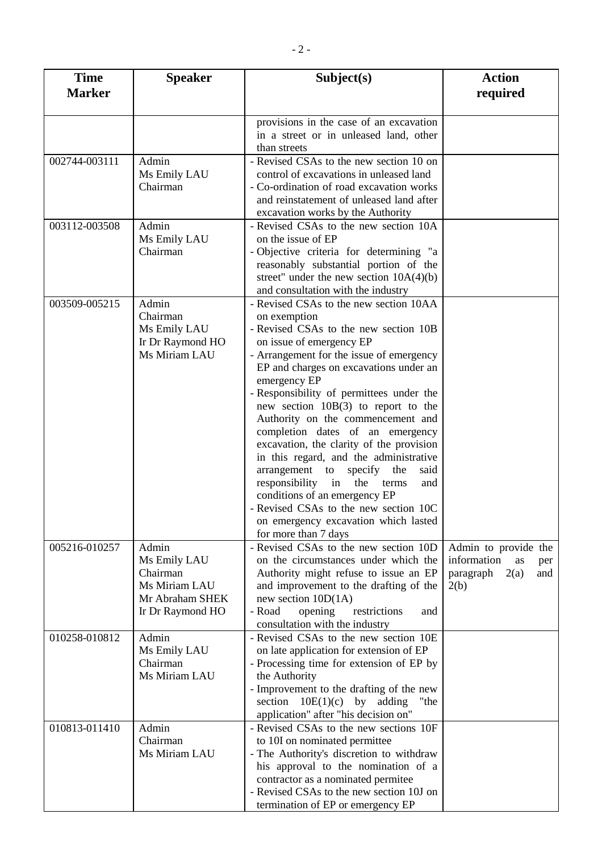| <b>Time</b>   | <b>Speaker</b>   | Subject(s)                                                                 | <b>Action</b>            |
|---------------|------------------|----------------------------------------------------------------------------|--------------------------|
| <b>Marker</b> |                  |                                                                            | required                 |
|               |                  |                                                                            |                          |
|               |                  | provisions in the case of an excavation                                    |                          |
|               |                  | in a street or in unleased land, other                                     |                          |
|               |                  | than streets                                                               |                          |
| 002744-003111 | Admin            | - Revised CSAs to the new section 10 on                                    |                          |
|               | Ms Emily LAU     | control of excavations in unleased land                                    |                          |
|               | Chairman         | - Co-ordination of road excavation works                                   |                          |
|               |                  | and reinstatement of unleased land after                                   |                          |
| 003112-003508 | Admin            | excavation works by the Authority<br>- Revised CSAs to the new section 10A |                          |
|               | Ms Emily LAU     | on the issue of EP                                                         |                          |
|               | Chairman         | - Objective criteria for determining "a                                    |                          |
|               |                  | reasonably substantial portion of the                                      |                          |
|               |                  | street" under the new section $10A(4)(b)$                                  |                          |
|               |                  | and consultation with the industry                                         |                          |
| 003509-005215 | Admin            | - Revised CSAs to the new section 10AA                                     |                          |
|               | Chairman         | on exemption                                                               |                          |
|               | Ms Emily LAU     | - Revised CSAs to the new section 10B                                      |                          |
|               | Ir Dr Raymond HO | on issue of emergency EP                                                   |                          |
|               | Ms Miriam LAU    | - Arrangement for the issue of emergency                                   |                          |
|               |                  | EP and charges on excavations under an                                     |                          |
|               |                  | emergency EP                                                               |                          |
|               |                  | - Responsibility of permittees under the                                   |                          |
|               |                  | new section $10B(3)$ to report to the                                      |                          |
|               |                  | Authority on the commencement and<br>completion dates of an emergency      |                          |
|               |                  | excavation, the clarity of the provision                                   |                          |
|               |                  | in this regard, and the administrative                                     |                          |
|               |                  | arrangement to specify<br>the<br>said                                      |                          |
|               |                  | responsibility in the<br>terms<br>and                                      |                          |
|               |                  | conditions of an emergency EP                                              |                          |
|               |                  | - Revised CSAs to the new section 10C                                      |                          |
|               |                  | on emergency excavation which lasted                                       |                          |
|               |                  | for more than 7 days                                                       |                          |
| 005216-010257 | Admin            | - Revised CSAs to the new section 10D                                      | Admin to provide the     |
|               | Ms Emily LAU     | on the circumstances under which the                                       | information<br>as<br>per |
|               | Chairman         | Authority might refuse to issue an EP                                      | paragraph<br>2(a)<br>and |
|               | Ms Miriam LAU    | and improvement to the drafting of the                                     | 2(b)                     |
|               | Mr Abraham SHEK  | new section $10D(1A)$                                                      |                          |
|               | Ir Dr Raymond HO | - Road<br>opening<br>restrictions<br>and<br>consultation with the industry |                          |
| 010258-010812 | Admin            | - Revised CSAs to the new section 10E                                      |                          |
|               | Ms Emily LAU     | on late application for extension of EP                                    |                          |
|               | Chairman         | - Processing time for extension of EP by                                   |                          |
|               | Ms Miriam LAU    | the Authority                                                              |                          |
|               |                  | - Improvement to the drafting of the new                                   |                          |
|               |                  | section $10E(1)(c)$ by adding<br>"the                                      |                          |
|               |                  | application" after "his decision on"                                       |                          |
| 010813-011410 | Admin            | - Revised CSAs to the new sections 10F                                     |                          |
|               | Chairman         | to 10I on nominated permittee                                              |                          |
|               | Ms Miriam LAU    | - The Authority's discretion to withdraw                                   |                          |
|               |                  | his approval to the nomination of a                                        |                          |
|               |                  | contractor as a nominated permitee                                         |                          |
|               |                  | - Revised CSAs to the new section 10J on                                   |                          |
|               |                  | termination of EP or emergency EP                                          |                          |